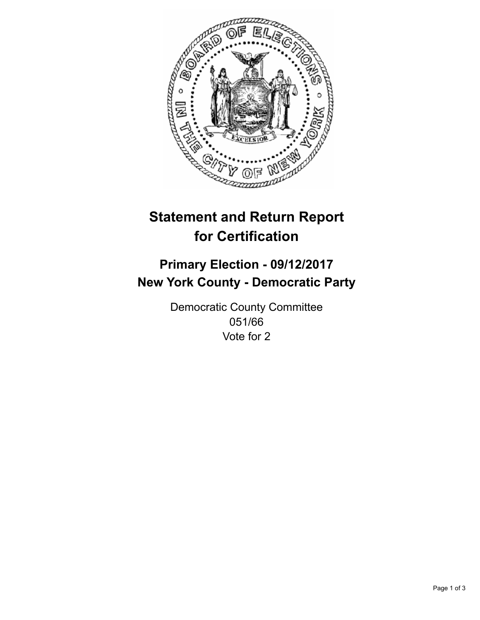

## **Statement and Return Report for Certification**

## **Primary Election - 09/12/2017 New York County - Democratic Party**

Democratic County Committee 051/66 Vote for 2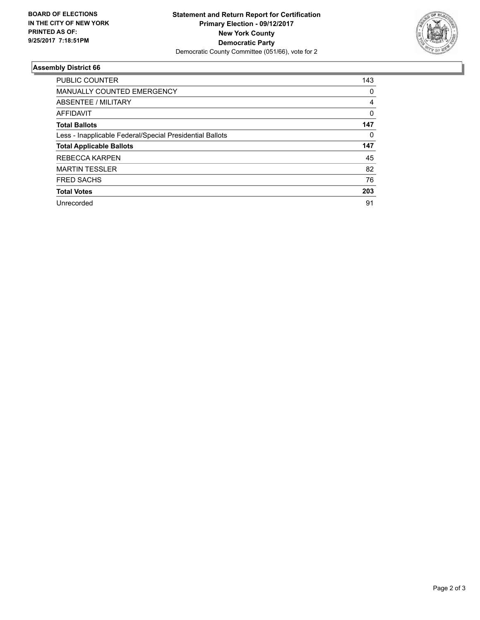

## **Assembly District 66**

| <b>PUBLIC COUNTER</b>                                    | 143 |
|----------------------------------------------------------|-----|
| <b>MANUALLY COUNTED EMERGENCY</b>                        | 0   |
| ABSENTEE / MILITARY                                      | 4   |
| <b>AFFIDAVIT</b>                                         | 0   |
| <b>Total Ballots</b>                                     | 147 |
| Less - Inapplicable Federal/Special Presidential Ballots | 0   |
| <b>Total Applicable Ballots</b>                          | 147 |
| <b>REBECCA KARPEN</b>                                    | 45  |
| <b>MARTIN TESSLER</b>                                    | 82  |
| <b>FRED SACHS</b>                                        | 76  |
| <b>Total Votes</b>                                       | 203 |
| Unrecorded                                               | 91  |